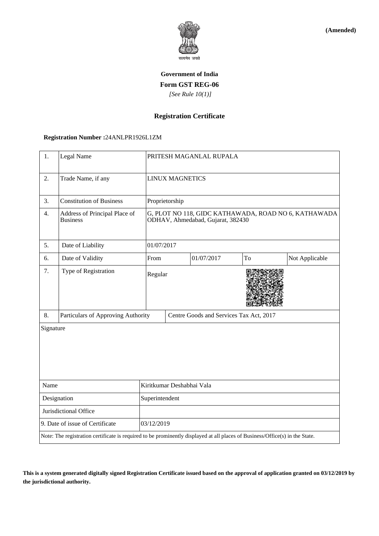

**(Amended)**

# **Government of India Form GST REG-06**  *[See Rule 10(1)]*

### **Registration Certificate**

#### **Registration Number :**24ANLPR1926L1ZM

| 1.                                                                                                                           | Legal Name                                       |                                                                                           | PRITESH MAGANLAL RUPALA                 |            |    |                |  |
|------------------------------------------------------------------------------------------------------------------------------|--------------------------------------------------|-------------------------------------------------------------------------------------------|-----------------------------------------|------------|----|----------------|--|
| $\overline{2}$ .                                                                                                             | Trade Name, if any                               | <b>LINUX MAGNETICS</b>                                                                    |                                         |            |    |                |  |
| 3.                                                                                                                           | <b>Constitution of Business</b>                  | Proprietorship                                                                            |                                         |            |    |                |  |
| 4.                                                                                                                           | Address of Principal Place of<br><b>Business</b> | G, PLOT NO 118, GIDC KATHAWADA, ROAD NO 6, KATHAWADA<br>ODHAV, Ahmedabad, Gujarat, 382430 |                                         |            |    |                |  |
| 5.                                                                                                                           | Date of Liability                                |                                                                                           | 01/07/2017                              |            |    |                |  |
| 6.                                                                                                                           | Date of Validity                                 | From                                                                                      |                                         | 01/07/2017 | To | Not Applicable |  |
| 7.                                                                                                                           | Type of Registration                             | Regular                                                                                   |                                         |            |    |                |  |
| 8.                                                                                                                           | Particulars of Approving Authority               |                                                                                           | Centre Goods and Services Tax Act, 2017 |            |    |                |  |
| Signature                                                                                                                    |                                                  |                                                                                           |                                         |            |    |                |  |
| Name                                                                                                                         |                                                  | Kiritkumar Deshabhai Vala                                                                 |                                         |            |    |                |  |
| Designation                                                                                                                  |                                                  | Superintendent                                                                            |                                         |            |    |                |  |
| Jurisdictional Office                                                                                                        |                                                  |                                                                                           |                                         |            |    |                |  |
| 9. Date of issue of Certificate                                                                                              |                                                  |                                                                                           | 03/12/2019                              |            |    |                |  |
| Note: The registration certificate is required to be prominently displayed at all places of Business/Office(s) in the State. |                                                  |                                                                                           |                                         |            |    |                |  |

**This is a system generated digitally signed Registration Certificate issued based on the approval of application granted on 03/12/2019 by the jurisdictional authority.**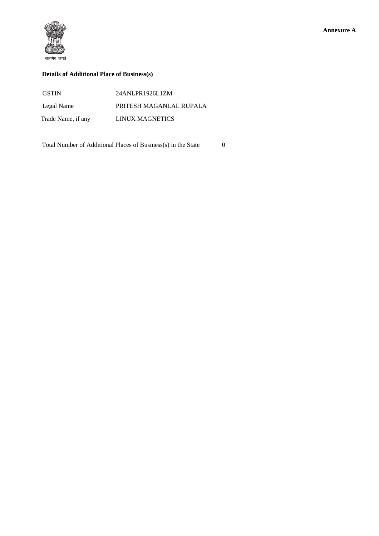

### **Details of Additional Place of Business(s)**

| <b>GSTIN</b>       | 24ANLPR1926L1ZM         |
|--------------------|-------------------------|
| Legal Name         | PRITESH MAGANLAL RUPALA |
| Trade Name, if any | LINUX MAGNETICS         |

Total Number of Additional Places of Business(s) in the State 0